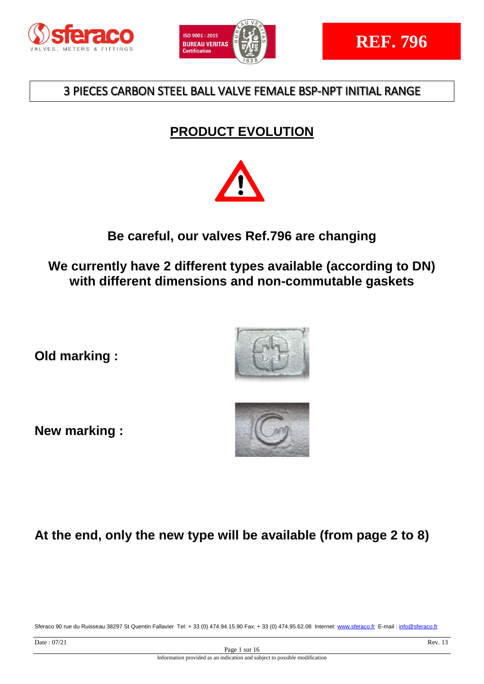



# **PRODUCT EVOLUTION**



# **Be careful, our valves Ref.796 are changing**

**We currently have 2 different types available (according to DN) with different dimensions and non-commutable gaskets**

**Old marking :** 

**New marking :**





# **At the end, only the new type will be available (from page 2 to 8)**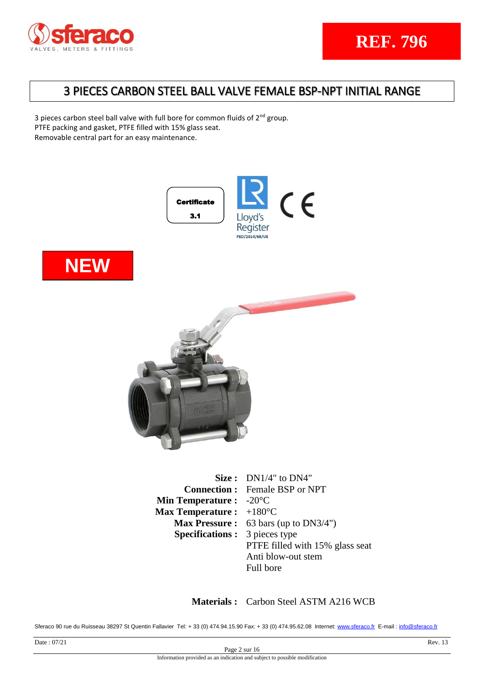

3 pieces carbon steel ball valve with full bore for common fluids of 2<sup>nd</sup> group. PTFE packing and gasket, PTFE filled with 15% glass seat. Removable central part for an easy maintenance.







|                                          | Size: $DN1/4"$ to $DN4"$                        |
|------------------------------------------|-------------------------------------------------|
|                                          | <b>Connection:</b> Female BSP or NPT            |
| <b>Min Temperature :</b> $-20^{\circ}$ C |                                                 |
| Max Temperature : $+180^{\circ}$ C       |                                                 |
|                                          | <b>Max Pressure :</b> 63 bars (up to $DN3/4"$ ) |
| <b>Specifications:</b> 3 pieces type     |                                                 |
|                                          | PTFE filled with 15% glass seat                 |
|                                          | Anti blow-out stem                              |
|                                          | Full bore                                       |

**Materials :** Carbon Steel ASTM A216 WCB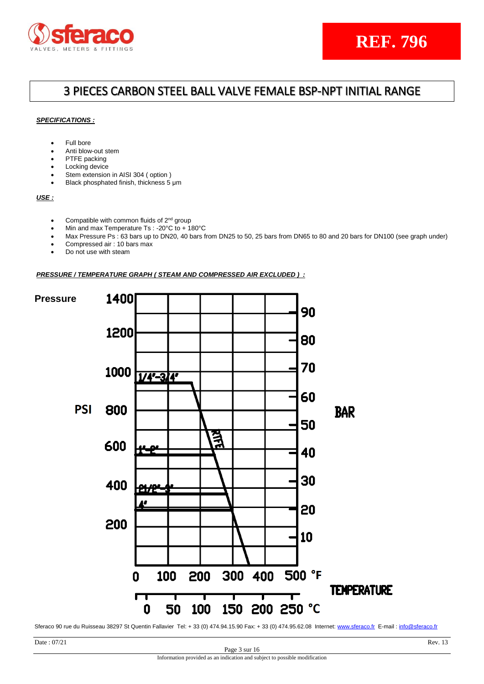

## 3 PIECES CARBON STEEL BALL VALVE FEMALE BSP-NPT INITIAL RANGE

### *SPECIFICATIONS :*

- Full bore
- Anti blow-out stem
- PTFE packing
- Locking device
- Stem extension in AISI 304 ( option )
- Black phosphated finish, thickness 5 μm

*USE :*

- Compatible with common fluids of 2<sup>nd</sup> group
- Min and max Temperature Ts : -20°C to + 180°C
- Max Pressure Ps : 63 bars up to DN20, 40 bars from DN25 to 50, 25 bars from DN65 to 80 and 20 bars for DN100 (see graph under)
- Compressed air : 10 bars max
- Do not use with steam

### *PRESSURE / TEMPERATURE GRAPH ( STEAM AND COMPRESSED AIR EXCLUDED ) :*

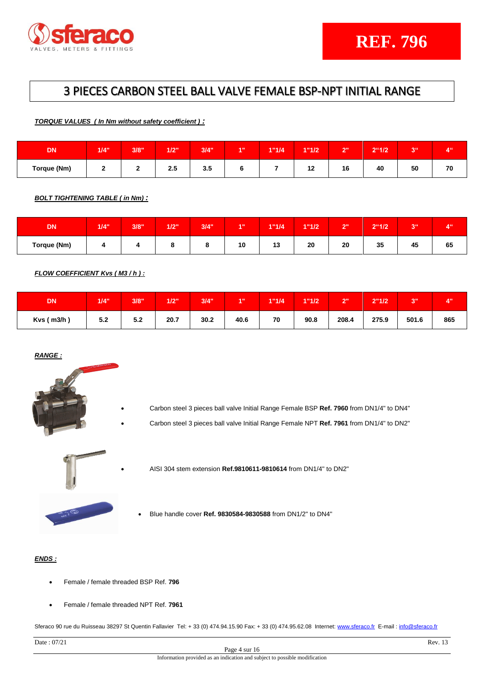

*TORQUE VALUES ( In Nm without safety coefficient ) :*

| <b>DN</b>   | 1/4" | 3/8" | 1/2" | 3/4" | <b>A 11</b> | 1"1/4 | 1"1/2                | $\sim$<br>- | $2^{\circ}1/2$ | <b>DIE</b><br>o | $A^{ii}$<br>. . |
|-------------|------|------|------|------|-------------|-------|----------------------|-------------|----------------|-----------------|-----------------|
| Torque (Nm) | -    | -    | 2.5  | 3.5  |             |       | $\overline{a}$<br>14 | 16          | 40             | 50              | 70              |

*BOLT TIGHTENING TABLE ( in Nm) :*

| <b>DN</b>   | 1/4" | 3/8" | 1/2" | 3/4" | <b>A 11</b> | 1"1/4  | 1"1/2 | $\sim$ | 2"1/2 | <b>SILL</b><br>◡ | 4 <sup>ii</sup> |
|-------------|------|------|------|------|-------------|--------|-------|--------|-------|------------------|-----------------|
| Torque (Nm) |      |      |      |      | 10          | 40<br> | 20    | 20     | 35    | 45               | 65              |

*FLOW COEFFICIENT Kvs ( M3 / h ) :*

| <b>DN</b>        | 1/4" | 3/8"  | 1/2" | 3/4" | 4.0  | 1"1/4 | 1"1/2 | $2^{\prime\prime}$ | 2"1/2 | 20<br>v | 4.11 |
|------------------|------|-------|------|------|------|-------|-------|--------------------|-------|---------|------|
| $Kvs$ ( $m3/h$ ) | 5.2  | $5.2$ | 20.7 | 30.2 | 40.6 | 70    | 90.8  | 208.4              | 275.9 | 501.6   | 865  |

## *RANGE :*



- Carbon steel 3 pieces ball valve Initial Range Female BSP **Ref. 7960** from DN1/4" to DN4"
- Carbon steel 3 pieces ball valve Initial Range Female NPT **Ref. 7961** from DN1/4" to DN2"



- AISI 304 stem extension **Ref.9810611-9810614** from DN1/4" to DN2"
- Blue handle cover **Ref. 9830584-9830588** from DN1/2" to DN4"

## *ENDS :*

- Female / female threaded BSP Ref. **796**
- Female / female threaded NPT Ref. **7961**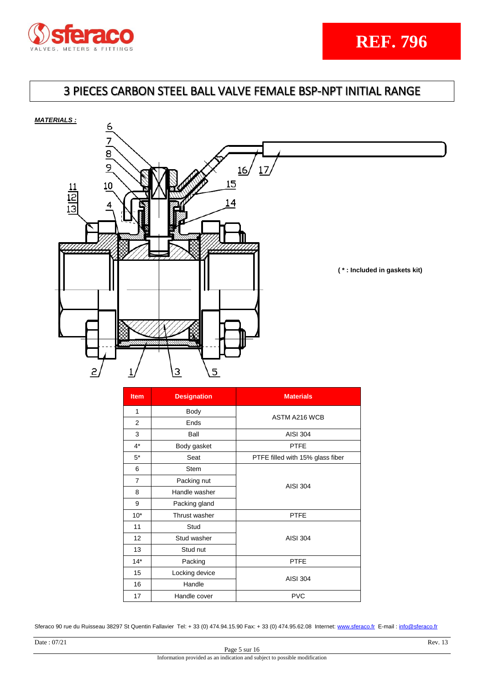

# 3 PIECES CARBON STEEL BALL VALVE FEMALE BSP-NPT INITIAL RANGE





| <b>Item</b> | <b>Designation</b> | <b>Materials</b>                 |
|-------------|--------------------|----------------------------------|
| 1           | Body               | <b>ASTM A216 WCB</b>             |
| 2           | Ends               |                                  |
| 3           | Ball               | <b>AISI 304</b>                  |
| $4^*$       | Body gasket        | <b>PTFE</b>                      |
| $5*$        | Seat               | PTFE filled with 15% glass fiber |
| 6           | <b>Stem</b>        |                                  |
| 7           | Packing nut        | <b>AISI 304</b>                  |
| 8           | Handle washer      |                                  |
| 9           | Packing gland      |                                  |
| $10*$       | Thrust washer      | <b>PTFE</b>                      |
| 11          | Stud               |                                  |
| 12          | Stud washer        | <b>AISI 304</b>                  |
| 13          | Stud nut           |                                  |
| $14*$       | Packing            | <b>PTFE</b>                      |
| 15          | Locking device     |                                  |
| 16          | Handle             | <b>AISI 304</b>                  |
| 17          | Handle cover       | <b>PVC</b>                       |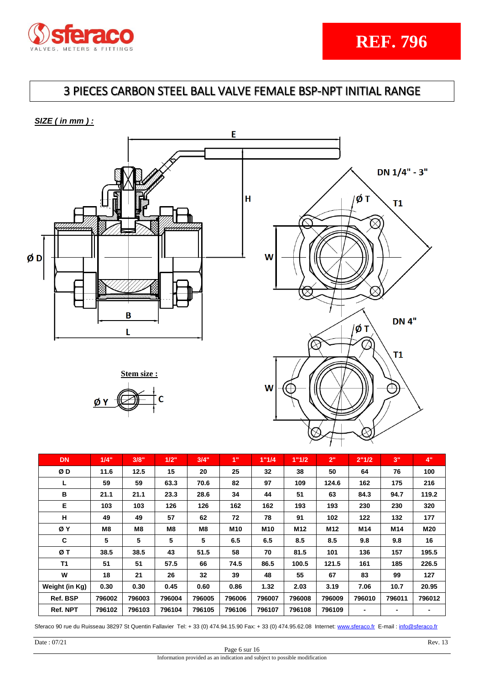

*SIZE ( in mm ) :*







**REF. 796**

| <b>DN</b>      | 1/4"   | 3/8"           | 1/2"           | 3/4"           | 1"              | 1"1/4           | 1"1/2           | 2"              | 2"1/2          | 3"     | 4"     |
|----------------|--------|----------------|----------------|----------------|-----------------|-----------------|-----------------|-----------------|----------------|--------|--------|
| ØD             | 11.6   | 12.5           | 15             | 20             | 25              | 32              | 38              | 50              | 64             | 76     | 100    |
| L              | 59     | 59             | 63.3           | 70.6           | 82              | 97              | 109             | 124.6           | 162            | 175    | 216    |
| B              | 21.1   | 21.1           | 23.3           | 28.6           | 34              | 44              | 51              | 63              | 84.3           | 94.7   | 119.2  |
| Е              | 103    | 103            | 126            | 126            | 162             | 162             | 193             | 193             | 230            | 230    | 320    |
| н              | 49     | 49             | 57             | 62             | 72              | 78              | 91              | 102             | 122            | 132    | 177    |
| ØΥ             | M8     | M <sub>8</sub> | M <sub>8</sub> | M <sub>8</sub> | M <sub>10</sub> | M <sub>10</sub> | M <sub>12</sub> | M <sub>12</sub> | M14            | M14    | M20    |
| C              | 5      | 5              | 5              | 5              | 6.5             | 6.5             | 8.5             | 8.5             | 9.8            | 9.8    | 16     |
| ØΤ             | 38.5   | 38.5           | 43             | 51.5           | 58              | 70              | 81.5            | 101             | 136            | 157    | 195.5  |
| T1             | 51     | 51             | 57.5           | 66             | 74.5            | 86.5            | 100.5           | 121.5           | 161            | 185    | 226.5  |
| W              | 18     | 21             | 26             | 32             | 39              | 48              | 55              | 67              | 83             | 99     | 127    |
| Weight (in Kg) | 0.30   | 0.30           | 0.45           | 0.60           | 0.86            | 1.32            | 2.03            | 3.19            | 7.06           | 10.7   | 20.95  |
| Ref. BSP       | 796002 | 796003         | 796004         | 796005         | 796006          | 796007          | 796008          | 796009          | 796010         | 796011 | 796012 |
| Ref. NPT       | 796102 | 796103         | 796104         | 796105         | 796106          | 796107          | 796108          | 796109          | $\blacksquare$ | -      |        |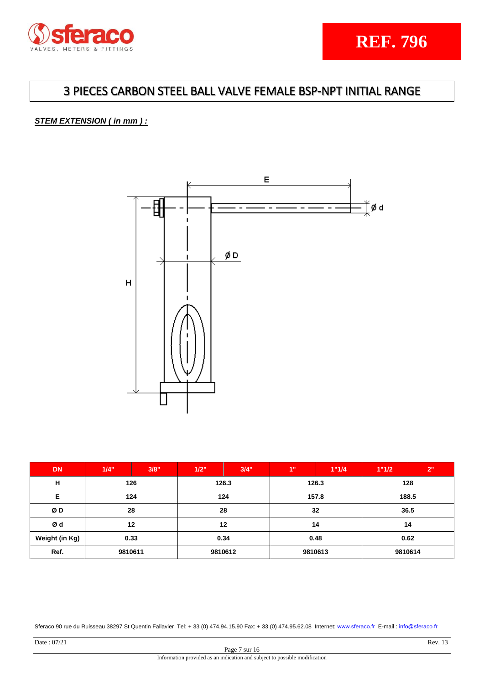

## 3 PIECES CARBON STEEL BALL VALVE FEMALE BSP-NPT INITIAL RANGE

## *STEM EXTENSION ( in mm ) :*



| <b>DN</b>      | 1/4"    | 3/8" | 1/2" | 3/4"           | 1"      | 1"1/4 | 1"1/2   | 2"   |      |  |      |  |      |  |
|----------------|---------|------|------|----------------|---------|-------|---------|------|------|--|------|--|------|--|
| н              |         | 126  |      | 126.3<br>126.3 |         |       | 128     |      |      |  |      |  |      |  |
| Е              |         | 124  |      | 124            |         | 157.8 | 188.5   |      |      |  |      |  |      |  |
| ØD             | 28      |      |      | 28             |         | 32    |         | 36.5 |      |  |      |  |      |  |
| Ød             |         | 12   |      | 12             |         | 14    |         | 14   |      |  |      |  |      |  |
| Weight (in Kg) | 0.33    |      |      |                |         |       |         |      | 0.34 |  | 0.48 |  | 0.62 |  |
| Ref.           | 9810611 |      |      | 9810612        | 9810613 |       | 9810614 |      |      |  |      |  |      |  |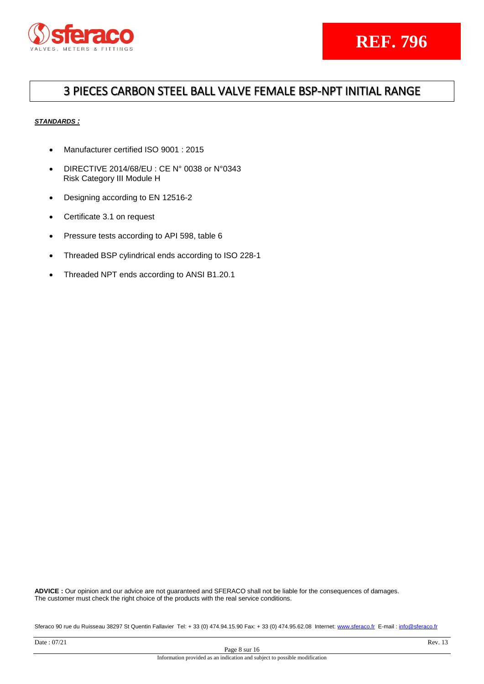

## 3 PIECES CARBON STEEL BALL VALVE FEMALE BSP-NPT INITIAL RANGE

## *STANDARDS :*

- Manufacturer certified ISO 9001 : 2015
- DIRECTIVE 2014/68/EU : CE N° 0038 or N°0343 Risk Category III Module H
- Designing according to EN 12516-2
- Certificate 3.1 on request
- Pressure tests according to API 598, table 6
- Threaded BSP cylindrical ends according to ISO 228-1
- Threaded NPT ends according to ANSI B1.20.1

**ADVICE :** Our opinion and our advice are not guaranteed and SFERACO shall not be liable for the consequences of damages. The customer must check the right choice of the products with the real service conditions.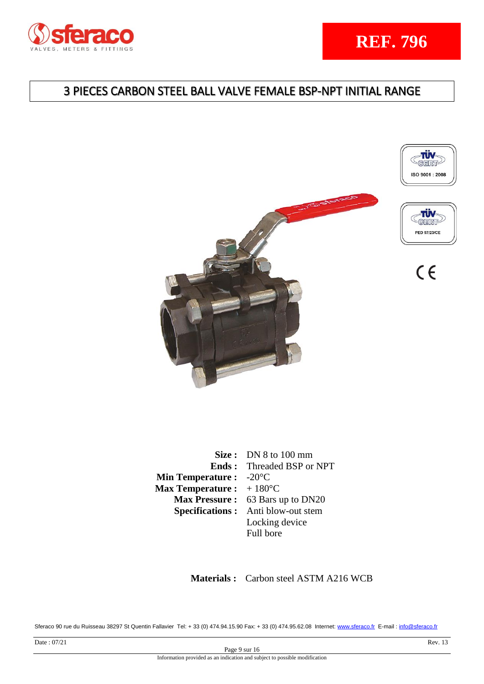

# 3 PIECES CARBON STEEL BALL VALVE FEMALE BSP-NPT INITIAL RANGE







 $C<sub>6</sub>$ 

|                                           | Size: $DN 8$ to 100 mm                    |
|-------------------------------------------|-------------------------------------------|
|                                           | <b>Ends:</b> Threaded BSP or NPT          |
| <b>Min Temperature :</b> $-20^{\circ}$ C  |                                           |
| <b>Max Temperature :</b> $+180^{\circ}$ C |                                           |
|                                           | Max Pressure: 63 Bars up to DN20          |
|                                           | <b>Specifications:</b> Anti blow-out stem |
|                                           | Locking device                            |
|                                           | Full bore                                 |

 **Materials :** Carbon steel ASTM A216 WCB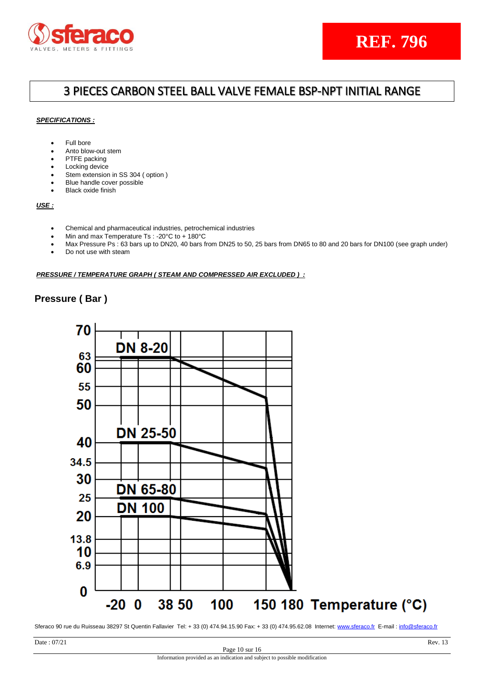

## 3 PIECES CARBON STEEL BALL VALVE FEMALE BSP-NPT INITIAL RANGE

### *SPECIFICATIONS :*

- Full bore
- Anto blow-out stem
- PTFE packing
- Locking device
- Stem extension in SS 304 ( option )
- Blue handle cover possible
- Black oxide finish

## *USE :*

- Chemical and pharmaceutical industries, petrochemical industries
- Min and max Temperature Ts : -20°C to + 180°C
- Max Pressure Ps : 63 bars up to DN20, 40 bars from DN25 to 50, 25 bars from DN65 to 80 and 20 bars for DN100 (see graph under)
- Do not use with steam

### *PRESSURE / TEMPERATURE GRAPH ( STEAM AND COMPRESSED AIR EXCLUDED ) :*

## **Pressure ( Bar )**

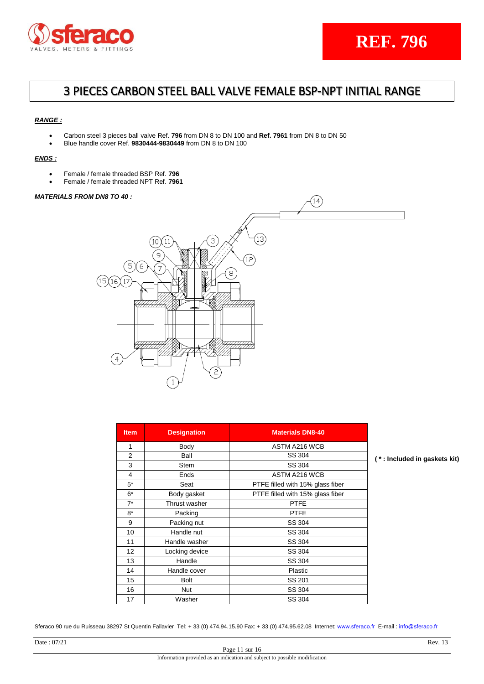

## 3 PIECES CARBON STEEL BALL VALVE FEMALE BSP-NPT INITIAL RANGE

### *RANGE :*

- Carbon steel 3 pieces ball valve Ref. **796** from DN 8 to DN 100 and **Ref. 7961** from DN 8 to DN 50
- Blue handle cover Ref. **9830444-9830449** from DN 8 to DN 100

### *ENDS :*

- Female / female threaded BSP Ref. **796**
- Female / female threaded NPT Ref. **7961**

### *MATERIALS FROM DN8 TO 40 :*



| <b>Item</b> | <b>Designation</b> | <b>Materials DN8-40</b>          |
|-------------|--------------------|----------------------------------|
| 1           | Body               | ASTM A216 WCB                    |
| 2           | Ball               | SS 304                           |
| 3           | <b>Stem</b>        | SS 304                           |
| 4           | Ends               | <b>ASTM A216 WCB</b>             |
| $5*$        | Seat               | PTFE filled with 15% glass fiber |
| $6*$        | Body gasket        | PTFE filled with 15% glass fiber |
| $7^*$       | Thrust washer      | <b>PTFE</b>                      |
| $8*$        | Packing            | <b>PTFE</b>                      |
| 9           | Packing nut        | SS 304                           |
| 10          | Handle nut         | SS 304                           |
| 11          | Handle washer      | SS 304                           |
| 12          | Locking device     | SS 304                           |
| 13          | Handle             | SS 304                           |
| 14          | Handle cover       | Plastic                          |
| 15          | <b>Bolt</b>        | SS 201                           |
| 16          | <b>Nut</b>         | SS 304                           |
| 17          | Washer             | SS 304                           |

**( \* : Included in gaskets kit)**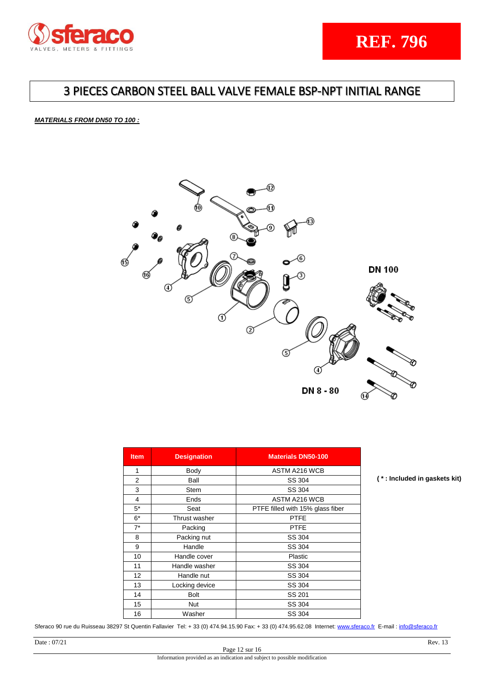

## 3 PIECES CARBON STEEL BALL VALVE FEMALE BSP-NPT INITIAL RANGE

### *MATERIALS FROM DN50 TO 100 :*



| <b>Item</b> | <b>Designation</b> | <b>Materials DN50-100</b>        |
|-------------|--------------------|----------------------------------|
| 1           | Body               | ASTM A216 WCB                    |
| 2           | Ball               | SS 304                           |
| 3           | Stem               | SS 304                           |
| 4           | Ends               | <b>ASTM A216 WCB</b>             |
| $5*$        | Seat               | PTFE filled with 15% glass fiber |
| $6*$        | Thrust washer      | <b>PTFE</b>                      |
| $7^*$       | Packing            | <b>PTFE</b>                      |
| 8           | Packing nut        | SS 304                           |
| 9           | Handle             | SS 304                           |
| 10          | Handle cover       | Plastic                          |
| 11          | Handle washer      | SS 304                           |
| 12          | Handle nut         | SS 304                           |
| 13          | Locking device     | SS 304                           |
| 14          | <b>Bolt</b>        | SS 201                           |
| 15          | <b>Nut</b>         | SS 304                           |
| 16          | Washer             | SS 304                           |

Sferaco 90 rue du Ruisseau 38297 St Quentin Fallavier Tel: + 33 (0) 474.94.15.90 Fax: + 33 (0) 474.95.62.08 Internet: [www.sferaco.fr](http://www.sferaco.fr/) E-mail : [info@sferaco.fr](mailto:info@sferaco.fr)

**( \* : Included in gaskets kit)**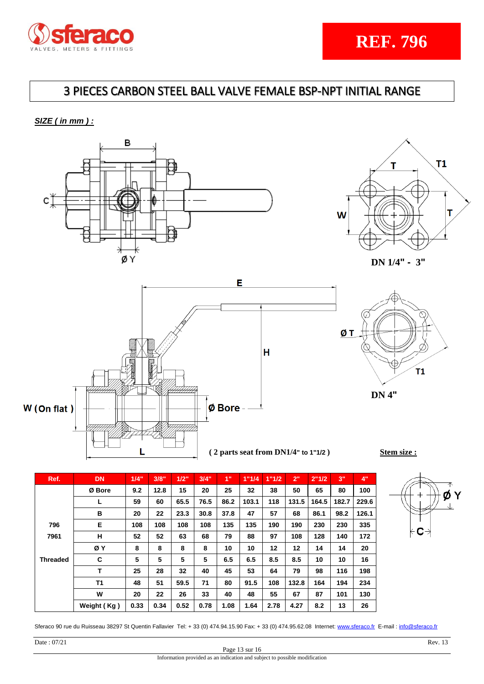

# 3 PIECES CARBON STEEL BALL VALVE FEMALE BSP-NPT INITIAL RANGE

*SIZE ( in mm ) :*









**DN 4"**

 **( 2 parts seat from DN1/4" to 1"1/2 ) Stem size :**

| Ref.            | <b>DN</b>   | 1/4" | 3/8" | 1/2" | 3/4" | 1"   | 1"1/4 | 1"1/2 | 2"    | 2"1/2 | 3"    | 4"    |
|-----------------|-------------|------|------|------|------|------|-------|-------|-------|-------|-------|-------|
|                 | Ø Bore      | 9.2  | 12.8 | 15   | 20   | 25   | 32    | 38    | 50    | 65    | 80    | 100   |
|                 | L           | 59   | 60   | 65.5 | 76.5 | 86.2 | 103.1 | 118   | 131.5 | 164.5 | 182.7 | 229.6 |
|                 | в           | 20   | 22   | 23.3 | 30.8 | 37.8 | 47    | 57    | 68    | 86.1  | 98.2  | 126.1 |
| 796             | Е           | 108  | 108  | 108  | 108  | 135  | 135   | 190   | 190   | 230   | 230   | 335   |
| 7961            | н           | 52   | 52   | 63   | 68   | 79   | 88    | 97    | 108   | 128   | 140   | 172   |
|                 | ØY          | 8    | 8    | 8    | 8    | 10   | 10    | 12    | 12    | 14    | 14    | 20    |
| <b>Threaded</b> | C           | 5    | 5    | 5    | 5    | 6.5  | 6.5   | 8.5   | 8.5   | 10    | 10    | 16    |
|                 | Т           | 25   | 28   | 32   | 40   | 45   | 53    | 64    | 79    | 98    | 116   | 198   |
|                 | <b>T1</b>   | 48   | 51   | 59.5 | 71   | 80   | 91.5  | 108   | 132.8 | 164   | 194   | 234   |
|                 | W           | 20   | 22   | 26   | 33   | 40   | 48    | 55    | 67    | 87    | 101   | 130   |
|                 | Weight (Kg) | 0.33 | 0.34 | 0.52 | 0.78 | 1.08 | 1.64  | 2.78  | 4.27  | 8.2   | 13    | 26    |

Sferaco 90 rue du Ruisseau 38297 St Quentin Fallavier Tel: + 33 (0) 474.94.15.90 Fax: + 33 (0) 474.95.62.08 Internet: [www.sferaco.fr](http://www.sferaco.fr/) E-mail : [info@sferaco.fr](mailto:info@sferaco.fr)

ν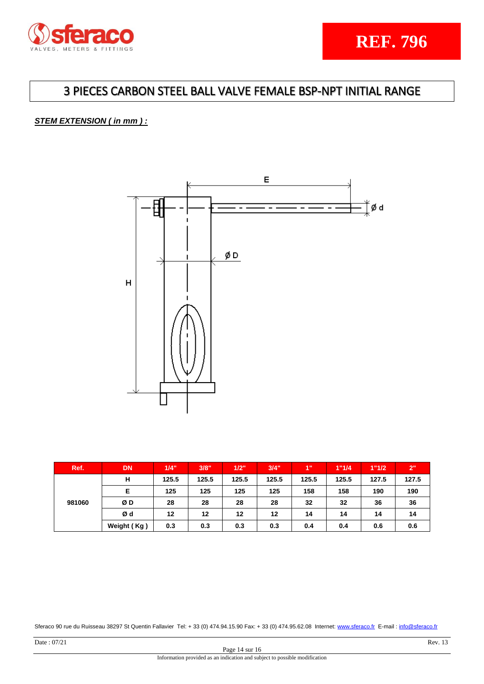

## *STEM EXTENSION ( in mm ) :*



| Ref.   | <b>DN</b>   | 1/4"  | 3/8"  | 1/2"  | 3/4"  | 1"    | 1"1/4 | 1"1/2 | 2"    |
|--------|-------------|-------|-------|-------|-------|-------|-------|-------|-------|
|        | н           | 125.5 | 125.5 | 125.5 | 125.5 | 125.5 | 125.5 | 127.5 | 127.5 |
|        | Е           | 125   | 125   | 125   | 125   | 158   | 158   | 190   | 190   |
| 981060 | ØD          | 28    | 28    | 28    | 28    | 32    | 32    | 36    | 36    |
|        | Ød          | 12    | 12    | 12    | 12    | 14    | 14    | 14    | 14    |
|        | Weight (Kg) | 0.3   | 0.3   | 0.3   | 0.3   | 0.4   | 0.4   | 0.6   | 0.6   |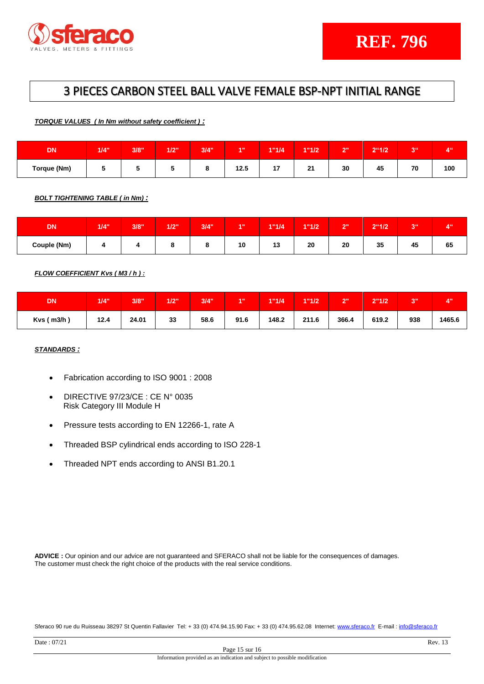

*TORQUE VALUES ( In Nm without safety coefficient ) :*

| <b>DN</b>   | 1/4" | 3/8" | 1/2" | 3/4" | 4.0  | 1"1/4  | 1"1/2         | $\sim$<br>. . | $2^{\circ}1/2$                 | 944<br>◡ | $A^{ii}$<br>. . |
|-------------|------|------|------|------|------|--------|---------------|---------------|--------------------------------|----------|-----------------|
| Torque (Nm) |      |      |      | о    | 12.5 | 47<br> | $\sim$<br>. . | 30            | $\overline{\phantom{a}}$<br>45 | 70       | 100             |

*BOLT TIGHTENING TABLE ( in Nm) :*

| <b>DN</b>   | 1/4" | 3/8" | 1/2" | 3/4" | <b>AU</b> | 1"1/4    | 1"1/2 | $\sim$<br>. . | 2"1/2 | <b>SILL</b><br>P | 4 <sup>ii</sup> |
|-------------|------|------|------|------|-----------|----------|-------|---------------|-------|------------------|-----------------|
| Couple (Nm) |      |      |      |      | 10        | 40<br>19 | 20    | 20            | 35    | 45               | 65              |

*FLOW COEFFICIENT Kvs ( M3 / h ) :*

| <b>DN</b>      | 1/4" | 3/8"  | 1/2" | 3/4" | <b>A</b> 11 | 1"1/4" | 1"1/2 | יים<br>- | 2"1/2" | 20H<br>◡ | $A$ <sub>11</sub> |
|----------------|------|-------|------|------|-------------|--------|-------|----------|--------|----------|-------------------|
| $Kvs$ ( m3/h ) | 12.4 | 24.01 | 33   | 58.6 | 91.6        | 148.2  | 211.6 | 366.4    | 619.2  | 938      | 1465.6            |

## *STANDARDS :*

- Fabrication according to ISO 9001 : 2008
- DIRECTIVE 97/23/CE : CE N° 0035 Risk Category III Module H
- Pressure tests according to EN 12266-1, rate A
- Threaded BSP cylindrical ends according to ISO 228-1
- Threaded NPT ends according to ANSI B1.20.1

**ADVICE :** Our opinion and our advice are not guaranteed and SFERACO shall not be liable for the consequences of damages. The customer must check the right choice of the products with the real service conditions.